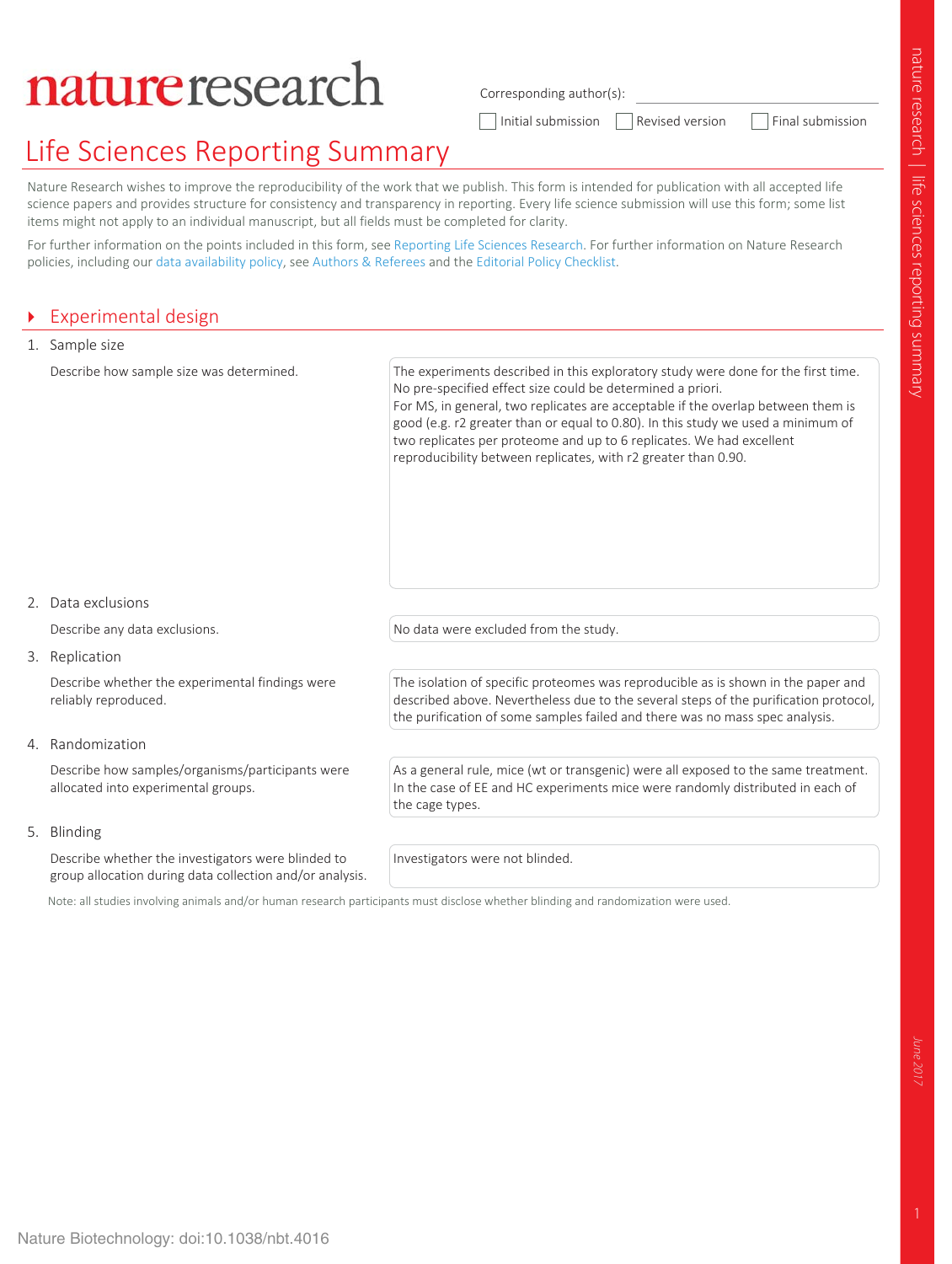# natureresearch

Corresponding author(s):

 $\Box$  Initial submission  $\Box$  Revised version  $\Box$  Final submission

# Life Sciences Reporting Summary

Nature Research wishes to improve the reproducibility of the work that we publish. This form is intended for publication with all accepted life science papers and provides structure for consistency and transparency in reporting. Every life science submission will use this form; some list items might not apply to an individual manuscript, but all fields must be completed for clarity.

For further information on the points included in this form, see Reporting Life Sciences Research. For further information on Nature Research policies, including our data availability policy, see Authors & Referees and the Editorial Policy Checklist.

### **Experimental design**

| 1. Sample size                                                                          |                                                                                                                                                                                                                                                                                                                                                                                                                                                                   |  |
|-----------------------------------------------------------------------------------------|-------------------------------------------------------------------------------------------------------------------------------------------------------------------------------------------------------------------------------------------------------------------------------------------------------------------------------------------------------------------------------------------------------------------------------------------------------------------|--|
| Describe how sample size was determined.                                                | The experiments described in this exploratory study were done for the first time.<br>No pre-specified effect size could be determined a priori.<br>For MS, in general, two replicates are acceptable if the overlap between them is<br>good (e.g. r2 greater than or equal to 0.80). In this study we used a minimum of<br>two replicates per proteome and up to 6 replicates. We had excellent<br>reproducibility between replicates, with r2 greater than 0.90. |  |
| 2. Data exclusions                                                                      |                                                                                                                                                                                                                                                                                                                                                                                                                                                                   |  |
| Describe any data exclusions.                                                           | No data were excluded from the study.                                                                                                                                                                                                                                                                                                                                                                                                                             |  |
| 3. Replication                                                                          |                                                                                                                                                                                                                                                                                                                                                                                                                                                                   |  |
| Describe whether the experimental findings were<br>reliably reproduced.                 | The isolation of specific proteomes was reproducible as is shown in the paper and<br>described above. Nevertheless due to the several steps of the purification protocol,<br>the purification of some samples failed and there was no mass spec analysis.                                                                                                                                                                                                         |  |
| 4. Randomization                                                                        |                                                                                                                                                                                                                                                                                                                                                                                                                                                                   |  |
| Describe how samples/organisms/participants were<br>allocated into experimental groups. | As a general rule, mice (wt or transgenic) were all exposed to the same treatment.<br>In the case of EE and HC experiments mice were randomly distributed in each of<br>the cage types.                                                                                                                                                                                                                                                                           |  |
| 5. Blinding                                                                             |                                                                                                                                                                                                                                                                                                                                                                                                                                                                   |  |

Describe whether the investigators were blinded to group allocation during data collection and/or analysis. Investigators were not blinded.

Note: all studies involving animals and/or human research participants must disclose whether blinding and randomization were used.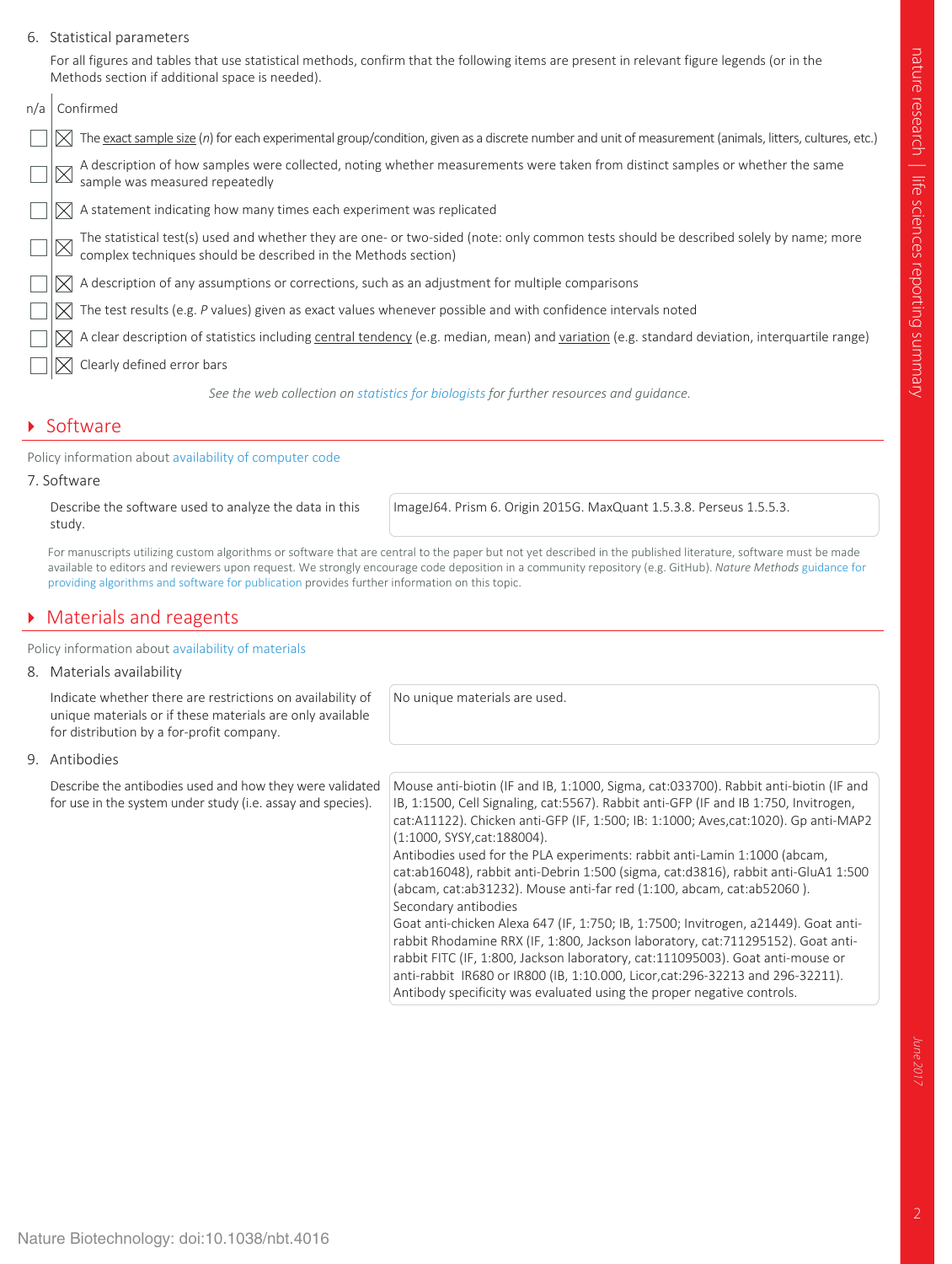#### 6. Statistical parameters

For all figures and tables that use statistical methods, confirm that the following items are present in relevant figure legends (or in the Methods section if additional space is needed).

| n/a | Confirmed                                                                                                                                                                                            |  |
|-----|------------------------------------------------------------------------------------------------------------------------------------------------------------------------------------------------------|--|
|     | $\Join$ The <u>exact sample size</u> ( <i>n</i> ) for each experimental group/condition, given as a discrete number and unit of measurement (animals, litters, cultures, etc.)                       |  |
|     | A description of how samples were collected, noting whether measurements were taken from distinct samples or whether the same<br>sample was measured repeatedly                                      |  |
|     | A statement indicating how many times each experiment was replicated                                                                                                                                 |  |
|     | The statistical test(s) used and whether they are one- or two-sided (note: only common tests should be described solely by name; more complex techniques should be described in the Methods section) |  |
|     | A description of any assumptions or corrections, such as an adjustment for multiple comparisons                                                                                                      |  |
|     | $\boxtimes$ The test results (e.g. P values) given as exact values whenever possible and with confidence intervals noted                                                                             |  |
|     | A clear description of statistics including central tendency (e.g. median, mean) and variation (e.g. standard deviation, interquartile range)                                                        |  |
|     | Clearly defined error bars                                                                                                                                                                           |  |
|     | See the web collection on statistics for biologists for further resources and quidance.                                                                                                              |  |

#### **Software**

Policy information about availability of computer code

7. Software

Describe the software used to analyze the data in this study.

ImageJ64. Prism 6. Origin 2015G. MaxQuant 1.5.3.8. Perseus 1.5.5.3.

For manuscripts utilizing custom algorithms or software that are central to the paper but not yet described in the published literature, software must be made available to editors and reviewers upon request. We strongly encourage code deposition in a community repository (e.g. GitHub). *Nature Methods* guidance for providing algorithms and software for publication provides further information on this topic.

#### **Materials and reagents**

Policy information about availability of materials

8. Materials availability

Indicate whether there are restrictions on availability of unique materials or if these materials are only available for distribution by a for-profit company.

No unique materials are used.

9. Antibodies

Describe the antibodies used and how they were validated for use in the system under study (i.e. assay and species).

Mouse anti-biotin (IF and IB, 1:1000, Sigma, cat:033700). Rabbit anti-biotin (IF and IB, 1:1500, Cell Signaling, cat:5567). Rabbit anti-GFP (IF and IB 1:750, Invitrogen, cat:A11122). Chicken anti-GFP (IF, 1:500; IB: 1:1000; Aves,cat:1020). Gp anti-MAP2 (1:1000, SYSY,cat:188004). Antibodies used for the PLA experiments: rabbit anti-Lamin 1:1000 (abcam,

cat:ab16048), rabbit anti-Debrin 1:500 (sigma, cat:d3816), rabbit anti-GluA1 1:500 (abcam, cat:ab31232). Mouse anti-far red (1:100, abcam, cat:ab52060 ). Secondary antibodies Goat anti-chicken Alexa 647 (IF, 1:750; IB, 1:7500; Invitrogen, a21449). Goat anti-

rabbit Rhodamine RRX (IF, 1:800, Jackson laboratory, cat:711295152). Goat antirabbit FITC (IF, 1:800, Jackson laboratory, cat:111095003). Goat anti-mouse or anti-rabbit IR680 or IR800 (IB, 1:10.000, Licor,cat:296-32213 and 296-32211). Antibody specificity was evaluated using the proper negative controls.

June 201.